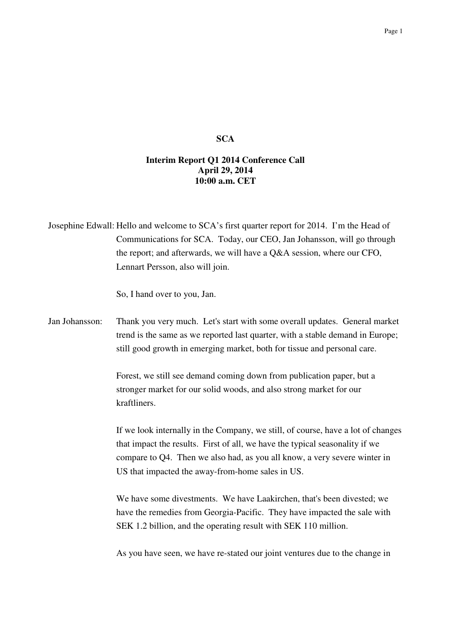## **SCA**

## **Interim Report Q1 2014 Conference Call April 29, 2014 10:00 a.m. CET**

Josephine Edwall: Hello and welcome to SCA's first quarter report for 2014. I'm the Head of Communications for SCA. Today, our CEO, Jan Johansson, will go through the report; and afterwards, we will have a Q&A session, where our CFO, Lennart Persson, also will join.

So, I hand over to you, Jan.

Jan Johansson: Thank you very much. Let's start with some overall updates. General market trend is the same as we reported last quarter, with a stable demand in Europe; still good growth in emerging market, both for tissue and personal care.

> Forest, we still see demand coming down from publication paper, but a stronger market for our solid woods, and also strong market for our kraftliners.

If we look internally in the Company, we still, of course, have a lot of changes that impact the results. First of all, we have the typical seasonality if we compare to Q4. Then we also had, as you all know, a very severe winter in US that impacted the away-from-home sales in US.

We have some divestments. We have Laakirchen, that's been divested; we have the remedies from Georgia-Pacific. They have impacted the sale with SEK 1.2 billion, and the operating result with SEK 110 million.

As you have seen, we have re-stated our joint ventures due to the change in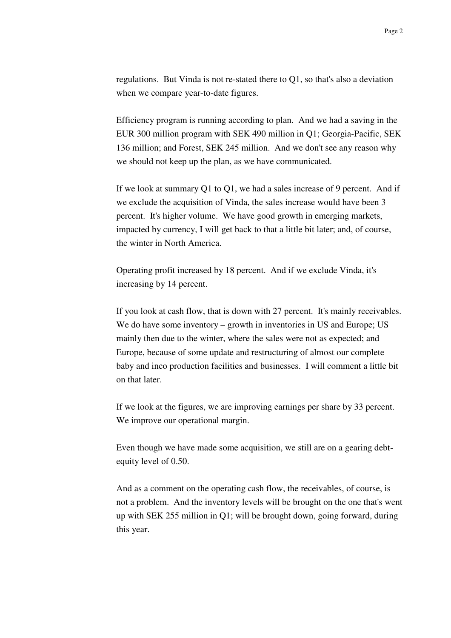regulations. But Vinda is not re-stated there to Q1, so that's also a deviation when we compare year-to-date figures.

Efficiency program is running according to plan. And we had a saving in the EUR 300 million program with SEK 490 million in Q1; Georgia-Pacific, SEK 136 million; and Forest, SEK 245 million. And we don't see any reason why we should not keep up the plan, as we have communicated.

If we look at summary Q1 to Q1, we had a sales increase of 9 percent. And if we exclude the acquisition of Vinda, the sales increase would have been 3 percent. It's higher volume. We have good growth in emerging markets, impacted by currency, I will get back to that a little bit later; and, of course, the winter in North America.

Operating profit increased by 18 percent. And if we exclude Vinda, it's increasing by 14 percent.

If you look at cash flow, that is down with 27 percent. It's mainly receivables. We do have some inventory – growth in inventories in US and Europe; US mainly then due to the winter, where the sales were not as expected; and Europe, because of some update and restructuring of almost our complete baby and inco production facilities and businesses. I will comment a little bit on that later.

If we look at the figures, we are improving earnings per share by 33 percent. We improve our operational margin.

Even though we have made some acquisition, we still are on a gearing debtequity level of 0.50.

And as a comment on the operating cash flow, the receivables, of course, is not a problem. And the inventory levels will be brought on the one that's went up with SEK 255 million in Q1; will be brought down, going forward, during this year.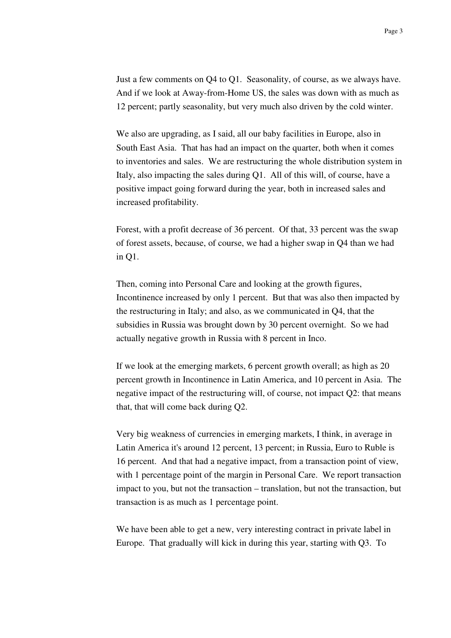Just a few comments on Q4 to Q1. Seasonality, of course, as we always have. And if we look at Away-from-Home US, the sales was down with as much as 12 percent; partly seasonality, but very much also driven by the cold winter.

We also are upgrading, as I said, all our baby facilities in Europe, also in South East Asia. That has had an impact on the quarter, both when it comes to inventories and sales. We are restructuring the whole distribution system in Italy, also impacting the sales during Q1. All of this will, of course, have a positive impact going forward during the year, both in increased sales and increased profitability.

Forest, with a profit decrease of 36 percent. Of that, 33 percent was the swap of forest assets, because, of course, we had a higher swap in Q4 than we had in Q1.

Then, coming into Personal Care and looking at the growth figures, Incontinence increased by only 1 percent. But that was also then impacted by the restructuring in Italy; and also, as we communicated in Q4, that the subsidies in Russia was brought down by 30 percent overnight. So we had actually negative growth in Russia with 8 percent in Inco.

If we look at the emerging markets, 6 percent growth overall; as high as 20 percent growth in Incontinence in Latin America, and 10 percent in Asia. The negative impact of the restructuring will, of course, not impact Q2: that means that, that will come back during Q2.

Very big weakness of currencies in emerging markets, I think, in average in Latin America it's around 12 percent, 13 percent; in Russia, Euro to Ruble is 16 percent. And that had a negative impact, from a transaction point of view, with 1 percentage point of the margin in Personal Care. We report transaction impact to you, but not the transaction – translation, but not the transaction, but transaction is as much as 1 percentage point.

We have been able to get a new, very interesting contract in private label in Europe. That gradually will kick in during this year, starting with Q3. To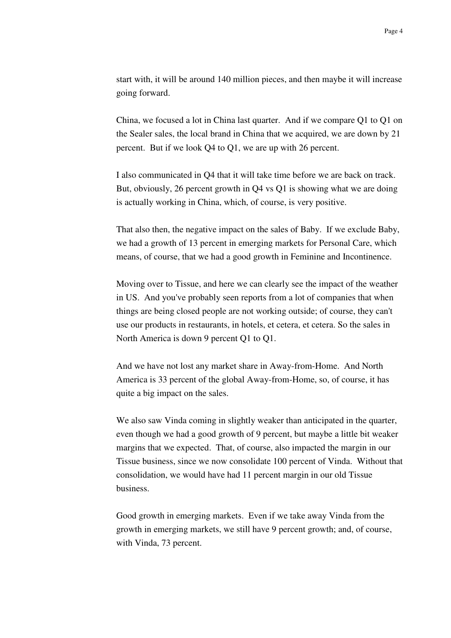start with, it will be around 140 million pieces, and then maybe it will increase going forward.

China, we focused a lot in China last quarter. And if we compare Q1 to Q1 on the Sealer sales, the local brand in China that we acquired, we are down by 21 percent. But if we look Q4 to Q1, we are up with 26 percent.

I also communicated in Q4 that it will take time before we are back on track. But, obviously, 26 percent growth in Q4 vs Q1 is showing what we are doing is actually working in China, which, of course, is very positive.

That also then, the negative impact on the sales of Baby. If we exclude Baby, we had a growth of 13 percent in emerging markets for Personal Care, which means, of course, that we had a good growth in Feminine and Incontinence.

Moving over to Tissue, and here we can clearly see the impact of the weather in US. And you've probably seen reports from a lot of companies that when things are being closed people are not working outside; of course, they can't use our products in restaurants, in hotels, et cetera, et cetera. So the sales in North America is down 9 percent Q1 to Q1.

And we have not lost any market share in Away-from-Home. And North America is 33 percent of the global Away-from-Home, so, of course, it has quite a big impact on the sales.

We also saw Vinda coming in slightly weaker than anticipated in the quarter, even though we had a good growth of 9 percent, but maybe a little bit weaker margins that we expected. That, of course, also impacted the margin in our Tissue business, since we now consolidate 100 percent of Vinda. Without that consolidation, we would have had 11 percent margin in our old Tissue business.

Good growth in emerging markets. Even if we take away Vinda from the growth in emerging markets, we still have 9 percent growth; and, of course, with Vinda, 73 percent.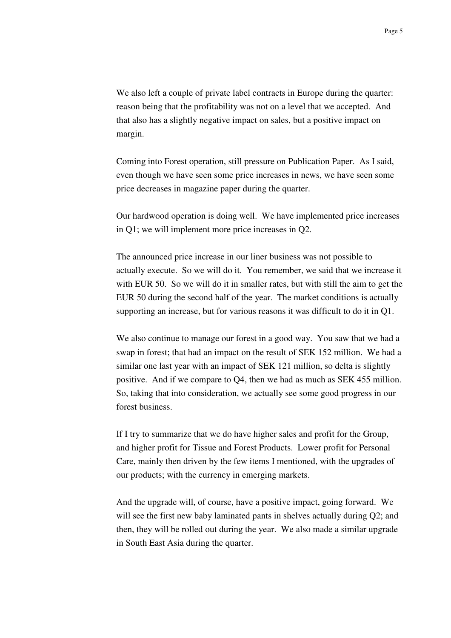We also left a couple of private label contracts in Europe during the quarter: reason being that the profitability was not on a level that we accepted. And that also has a slightly negative impact on sales, but a positive impact on margin.

Coming into Forest operation, still pressure on Publication Paper. As I said, even though we have seen some price increases in news, we have seen some price decreases in magazine paper during the quarter.

Our hardwood operation is doing well. We have implemented price increases in Q1; we will implement more price increases in Q2.

The announced price increase in our liner business was not possible to actually execute. So we will do it. You remember, we said that we increase it with EUR 50. So we will do it in smaller rates, but with still the aim to get the EUR 50 during the second half of the year. The market conditions is actually supporting an increase, but for various reasons it was difficult to do it in Q1.

We also continue to manage our forest in a good way. You saw that we had a swap in forest; that had an impact on the result of SEK 152 million. We had a similar one last year with an impact of SEK 121 million, so delta is slightly positive. And if we compare to Q4, then we had as much as SEK 455 million. So, taking that into consideration, we actually see some good progress in our forest business.

If I try to summarize that we do have higher sales and profit for the Group, and higher profit for Tissue and Forest Products. Lower profit for Personal Care, mainly then driven by the few items I mentioned, with the upgrades of our products; with the currency in emerging markets.

And the upgrade will, of course, have a positive impact, going forward. We will see the first new baby laminated pants in shelves actually during Q2; and then, they will be rolled out during the year. We also made a similar upgrade in South East Asia during the quarter.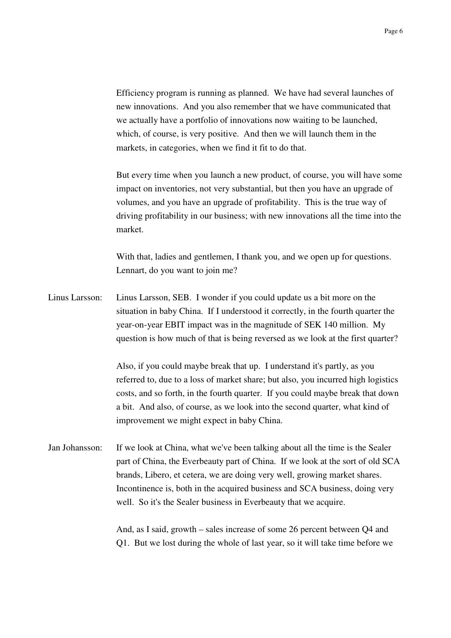Efficiency program is running as planned. We have had several launches of new innovations. And you also remember that we have communicated that we actually have a portfolio of innovations now waiting to be launched, which, of course, is very positive. And then we will launch them in the markets, in categories, when we find it fit to do that.

But every time when you launch a new product, of course, you will have some impact on inventories, not very substantial, but then you have an upgrade of volumes, and you have an upgrade of profitability. This is the true way of driving profitability in our business; with new innovations all the time into the market.

With that, ladies and gentlemen, I thank you, and we open up for questions. Lennart, do you want to join me?

Linus Larsson: Linus Larsson, SEB. I wonder if you could update us a bit more on the situation in baby China. If I understood it correctly, in the fourth quarter the year-on-year EBIT impact was in the magnitude of SEK 140 million. My question is how much of that is being reversed as we look at the first quarter?

> Also, if you could maybe break that up. I understand it's partly, as you referred to, due to a loss of market share; but also, you incurred high logistics costs, and so forth, in the fourth quarter. If you could maybe break that down a bit. And also, of course, as we look into the second quarter, what kind of improvement we might expect in baby China.

Jan Johansson: If we look at China, what we've been talking about all the time is the Sealer part of China, the Everbeauty part of China. If we look at the sort of old SCA brands, Libero, et cetera, we are doing very well, growing market shares. Incontinence is, both in the acquired business and SCA business, doing very well. So it's the Sealer business in Everbeauty that we acquire.

> And, as I said, growth – sales increase of some 26 percent between Q4 and Q1. But we lost during the whole of last year, so it will take time before we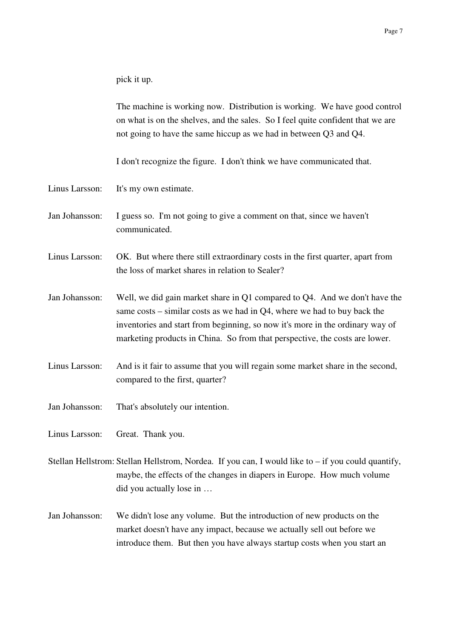pick it up.

The machine is working now. Distribution is working. We have good control on what is on the shelves, and the sales. So I feel quite confident that we are not going to have the same hiccup as we had in between Q3 and Q4.

I don't recognize the figure. I don't think we have communicated that.

- Linus Larsson: It's my own estimate.
- Jan Johansson: I guess so. I'm not going to give a comment on that, since we haven't communicated.
- Linus Larsson: OK. But where there still extraordinary costs in the first quarter, apart from the loss of market shares in relation to Sealer?
- Jan Johansson: Well, we did gain market share in Q1 compared to Q4. And we don't have the same costs – similar costs as we had in Q4, where we had to buy back the inventories and start from beginning, so now it's more in the ordinary way of marketing products in China. So from that perspective, the costs are lower.
- Linus Larsson: And is it fair to assume that you will regain some market share in the second, compared to the first, quarter?
- Jan Johansson: That's absolutely our intention.
- Linus Larsson: Great. Thank you.
- Stellan Hellstrom: Stellan Hellstrom, Nordea. If you can, I would like to if you could quantify, maybe, the effects of the changes in diapers in Europe. How much volume did you actually lose in …
- Jan Johansson: We didn't lose any volume. But the introduction of new products on the market doesn't have any impact, because we actually sell out before we introduce them. But then you have always startup costs when you start an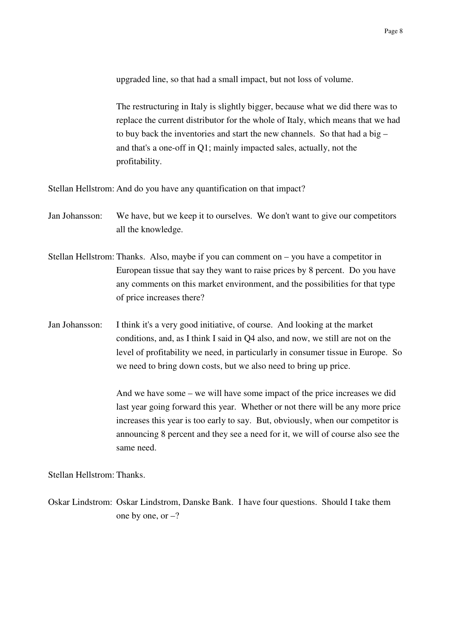upgraded line, so that had a small impact, but not loss of volume.

The restructuring in Italy is slightly bigger, because what we did there was to replace the current distributor for the whole of Italy, which means that we had to buy back the inventories and start the new channels. So that had a big – and that's a one-off in Q1; mainly impacted sales, actually, not the profitability.

Stellan Hellstrom: And do you have any quantification on that impact?

- Jan Johansson: We have, but we keep it to ourselves. We don't want to give our competitors all the knowledge.
- Stellan Hellstrom: Thanks. Also, maybe if you can comment on you have a competitor in European tissue that say they want to raise prices by 8 percent. Do you have any comments on this market environment, and the possibilities for that type of price increases there?
- Jan Johansson: I think it's a very good initiative, of course. And looking at the market conditions, and, as I think I said in Q4 also, and now, we still are not on the level of profitability we need, in particularly in consumer tissue in Europe. So we need to bring down costs, but we also need to bring up price.

And we have some – we will have some impact of the price increases we did last year going forward this year. Whether or not there will be any more price increases this year is too early to say. But, obviously, when our competitor is announcing 8 percent and they see a need for it, we will of course also see the same need.

Stellan Hellstrom: Thanks.

Oskar Lindstrom: Oskar Lindstrom, Danske Bank. I have four questions. Should I take them one by one, or  $-$ ?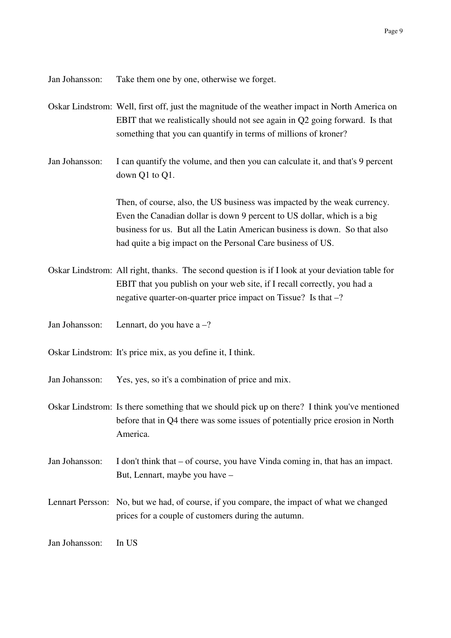Jan Johansson: Take them one by one, otherwise we forget.

- Oskar Lindstrom: Well, first off, just the magnitude of the weather impact in North America on EBIT that we realistically should not see again in Q2 going forward. Is that something that you can quantify in terms of millions of kroner?
- Jan Johansson: I can quantify the volume, and then you can calculate it, and that's 9 percent down Q1 to Q1.

Then, of course, also, the US business was impacted by the weak currency. Even the Canadian dollar is down 9 percent to US dollar, which is a big business for us. But all the Latin American business is down. So that also had quite a big impact on the Personal Care business of US.

- Oskar Lindstrom: All right, thanks. The second question is if I look at your deviation table for EBIT that you publish on your web site, if I recall correctly, you had a negative quarter-on-quarter price impact on Tissue? Is that –?
- Jan Johansson: Lennart, do you have  $a ?$
- Oskar Lindstrom: It's price mix, as you define it, I think.
- Jan Johansson: Yes, yes, so it's a combination of price and mix.
- Oskar Lindstrom: Is there something that we should pick up on there? I think you've mentioned before that in Q4 there was some issues of potentially price erosion in North America.
- Jan Johansson: I don't think that of course, you have Vinda coming in, that has an impact. But, Lennart, maybe you have –
- Lennart Persson: No, but we had, of course, if you compare, the impact of what we changed prices for a couple of customers during the autumn.

Jan Johansson: In US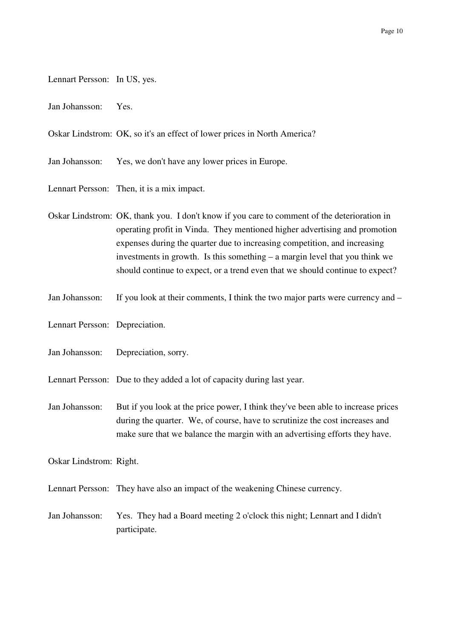- Lennart Persson: In US, yes.
- Jan Johansson: Yes.

Oskar Lindstrom: OK, so it's an effect of lower prices in North America?

Jan Johansson: Yes, we don't have any lower prices in Europe.

Lennart Persson: Then, it is a mix impact.

Oskar Lindstrom: OK, thank you. I don't know if you care to comment of the deterioration in operating profit in Vinda. They mentioned higher advertising and promotion expenses during the quarter due to increasing competition, and increasing investments in growth. Is this something – a margin level that you think we should continue to expect, or a trend even that we should continue to expect?

- Jan Johansson: If you look at their comments, I think the two major parts were currency and –
- Lennart Persson: Depreciation.
- Jan Johansson: Depreciation, sorry.
- Lennart Persson: Due to they added a lot of capacity during last year.
- Jan Johansson: But if you look at the price power, I think they've been able to increase prices during the quarter. We, of course, have to scrutinize the cost increases and make sure that we balance the margin with an advertising efforts they have.

Oskar Lindstrom: Right.

Lennart Persson: They have also an impact of the weakening Chinese currency.

Jan Johansson: Yes. They had a Board meeting 2 o'clock this night; Lennart and I didn't participate.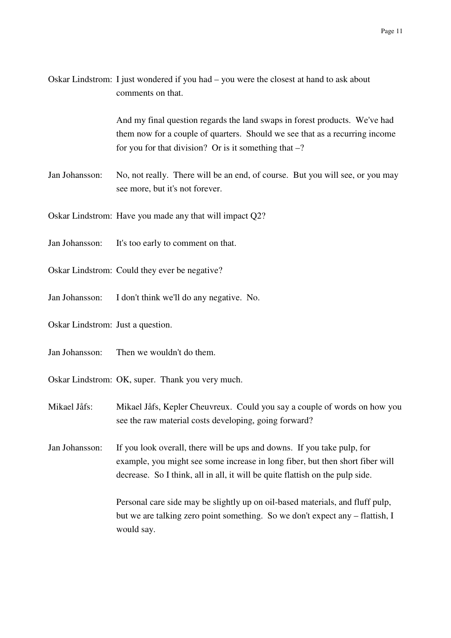| Oskar Lindstrom: I just wondered if you had – you were the closest at hand to ask about |
|-----------------------------------------------------------------------------------------|
| comments on that.                                                                       |

And my final question regards the land swaps in forest products. We've had them now for a couple of quarters. Should we see that as a recurring income for you for that division? Or is it something that  $-$ ?

- Jan Johansson: No, not really. There will be an end, of course. But you will see, or you may see more, but it's not forever.
- Oskar Lindstrom: Have you made any that will impact Q2?
- Jan Johansson: It's too early to comment on that.
- Oskar Lindstrom: Could they ever be negative?
- Jan Johansson: I don't think we'll do any negative. No.
- Oskar Lindstrom: Just a question.
- Jan Johansson: Then we wouldn't do them.
- Oskar Lindstrom: OK, super. Thank you very much.
- Mikael Jåfs: Mikael Jåfs, Kepler Cheuvreux. Could you say a couple of words on how you see the raw material costs developing, going forward?

Jan Johansson: If you look overall, there will be ups and downs. If you take pulp, for example, you might see some increase in long fiber, but then short fiber will decrease. So I think, all in all, it will be quite flattish on the pulp side.

> Personal care side may be slightly up on oil-based materials, and fluff pulp, but we are talking zero point something. So we don't expect any – flattish, I would say.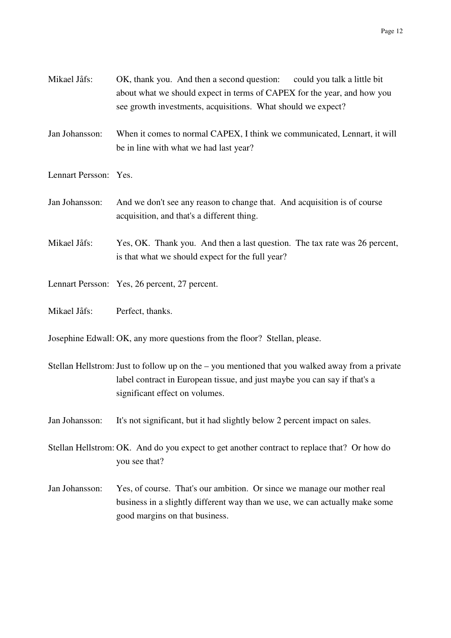| Mikael Jåfs: | OK, thank you. And then a second question:                              | could you talk a little bit |
|--------------|-------------------------------------------------------------------------|-----------------------------|
|              | about what we should expect in terms of CAPEX for the year, and how you |                             |
|              | see growth investments, acquisitions. What should we expect?            |                             |

- Jan Johansson: When it comes to normal CAPEX, I think we communicated, Lennart, it will be in line with what we had last year?
- Lennart Persson: Yes.
- Jan Johansson: And we don't see any reason to change that. And acquisition is of course acquisition, and that's a different thing.
- Mikael Jåfs: Yes, OK. Thank you. And then a last question. The tax rate was 26 percent, is that what we should expect for the full year?
- Lennart Persson: Yes, 26 percent, 27 percent.
- Mikael Jåfs: Perfect, thanks.

Josephine Edwall: OK, any more questions from the floor? Stellan, please.

- Stellan Hellstrom: Just to follow up on the you mentioned that you walked away from a private label contract in European tissue, and just maybe you can say if that's a significant effect on volumes.
- Jan Johansson: It's not significant, but it had slightly below 2 percent impact on sales.

Stellan Hellstrom: OK. And do you expect to get another contract to replace that? Or how do you see that?

Jan Johansson: Yes, of course. That's our ambition. Or since we manage our mother real business in a slightly different way than we use, we can actually make some good margins on that business.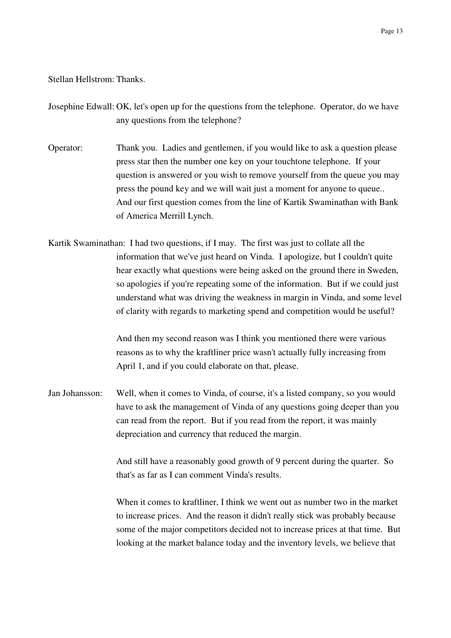## Stellan Hellstrom: Thanks.

Josephine Edwall: OK, let's open up for the questions from the telephone. Operator, do we have any questions from the telephone?

Operator: Thank you. Ladies and gentlemen, if you would like to ask a question please press star then the number one key on your touchtone telephone. If your question is answered or you wish to remove yourself from the queue you may press the pound key and we will wait just a moment for anyone to queue.. And our first question comes from the line of Kartik Swaminathan with Bank of America Merrill Lynch.

Kartik Swaminathan: I had two questions, if I may. The first was just to collate all the information that we've just heard on Vinda. I apologize, but I couldn't quite hear exactly what questions were being asked on the ground there in Sweden, so apologies if you're repeating some of the information. But if we could just understand what was driving the weakness in margin in Vinda, and some level of clarity with regards to marketing spend and competition would be useful?

> And then my second reason was I think you mentioned there were various reasons as to why the kraftliner price wasn't actually fully increasing from April 1, and if you could elaborate on that, please.

Jan Johansson: Well, when it comes to Vinda, of course, it's a listed company, so you would have to ask the management of Vinda of any questions going deeper than you can read from the report. But if you read from the report, it was mainly depreciation and currency that reduced the margin.

> And still have a reasonably good growth of 9 percent during the quarter. So that's as far as I can comment Vinda's results.

When it comes to kraftliner, I think we went out as number two in the market to increase prices. And the reason it didn't really stick was probably because some of the major competitors decided not to increase prices at that time. But looking at the market balance today and the inventory levels, we believe that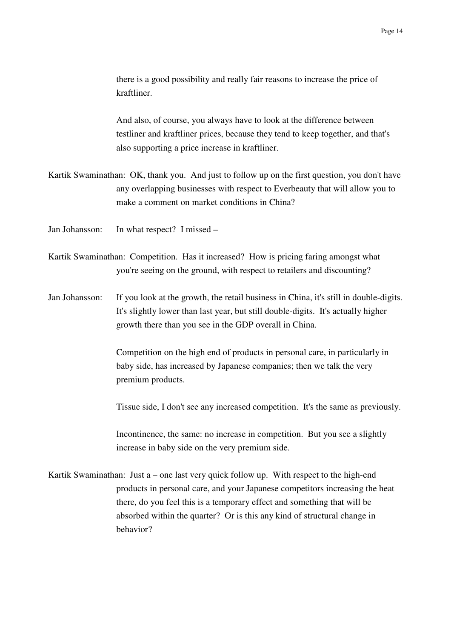there is a good possibility and really fair reasons to increase the price of kraftliner.

And also, of course, you always have to look at the difference between testliner and kraftliner prices, because they tend to keep together, and that's also supporting a price increase in kraftliner.

- Kartik Swaminathan: OK, thank you. And just to follow up on the first question, you don't have any overlapping businesses with respect to Everbeauty that will allow you to make a comment on market conditions in China?
- Jan Johansson: In what respect? I missed –
- Kartik Swaminathan: Competition. Has it increased? How is pricing faring amongst what you're seeing on the ground, with respect to retailers and discounting?
- Jan Johansson: If you look at the growth, the retail business in China, it's still in double-digits. It's slightly lower than last year, but still double-digits. It's actually higher growth there than you see in the GDP overall in China.

Competition on the high end of products in personal care, in particularly in baby side, has increased by Japanese companies; then we talk the very premium products.

Tissue side, I don't see any increased competition. It's the same as previously.

Incontinence, the same: no increase in competition. But you see a slightly increase in baby side on the very premium side.

Kartik Swaminathan: Just a – one last very quick follow up. With respect to the high-end products in personal care, and your Japanese competitors increasing the heat there, do you feel this is a temporary effect and something that will be absorbed within the quarter? Or is this any kind of structural change in behavior?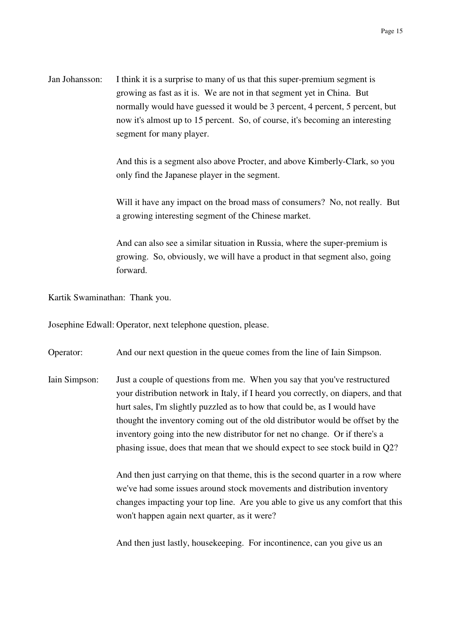Jan Johansson: I think it is a surprise to many of us that this super-premium segment is growing as fast as it is. We are not in that segment yet in China. But normally would have guessed it would be 3 percent, 4 percent, 5 percent, but now it's almost up to 15 percent. So, of course, it's becoming an interesting segment for many player.

> And this is a segment also above Procter, and above Kimberly-Clark, so you only find the Japanese player in the segment.

Will it have any impact on the broad mass of consumers? No, not really. But a growing interesting segment of the Chinese market.

And can also see a similar situation in Russia, where the super-premium is growing. So, obviously, we will have a product in that segment also, going forward.

Kartik Swaminathan: Thank you.

Josephine Edwall: Operator, next telephone question, please.

Operator: And our next question in the queue comes from the line of Iain Simpson.

Iain Simpson: Just a couple of questions from me. When you say that you've restructured your distribution network in Italy, if I heard you correctly, on diapers, and that hurt sales, I'm slightly puzzled as to how that could be, as I would have thought the inventory coming out of the old distributor would be offset by the inventory going into the new distributor for net no change. Or if there's a phasing issue, does that mean that we should expect to see stock build in Q2?

> And then just carrying on that theme, this is the second quarter in a row where we've had some issues around stock movements and distribution inventory changes impacting your top line. Are you able to give us any comfort that this won't happen again next quarter, as it were?

And then just lastly, housekeeping. For incontinence, can you give us an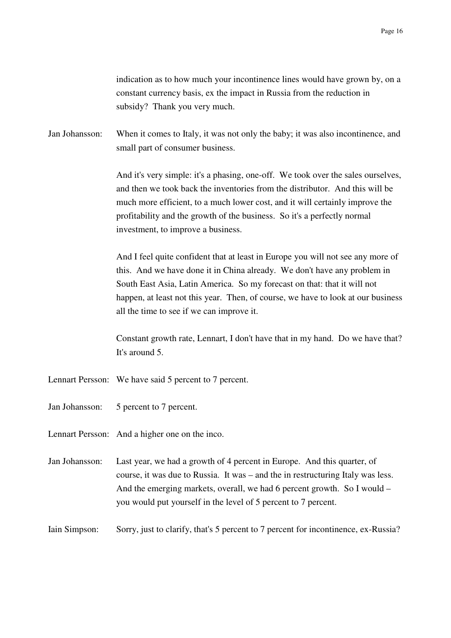indication as to how much your incontinence lines would have grown by, on a constant currency basis, ex the impact in Russia from the reduction in subsidy? Thank you very much.

Jan Johansson: When it comes to Italy, it was not only the baby; it was also incontinence, and small part of consumer business.

> And it's very simple: it's a phasing, one-off. We took over the sales ourselves, and then we took back the inventories from the distributor. And this will be much more efficient, to a much lower cost, and it will certainly improve the profitability and the growth of the business. So it's a perfectly normal investment, to improve a business.

> And I feel quite confident that at least in Europe you will not see any more of this. And we have done it in China already. We don't have any problem in South East Asia, Latin America. So my forecast on that: that it will not happen, at least not this year. Then, of course, we have to look at our business all the time to see if we can improve it.

> Constant growth rate, Lennart, I don't have that in my hand. Do we have that? It's around 5.

- Lennart Persson: We have said 5 percent to 7 percent.
- Jan Johansson: 5 percent to 7 percent.
- Lennart Persson: And a higher one on the inco.
- Jan Johansson: Last year, we had a growth of 4 percent in Europe. And this quarter, of course, it was due to Russia. It was – and the in restructuring Italy was less. And the emerging markets, overall, we had 6 percent growth. So I would – you would put yourself in the level of 5 percent to 7 percent.

Iain Simpson: Sorry, just to clarify, that's 5 percent to 7 percent for incontinence, ex-Russia?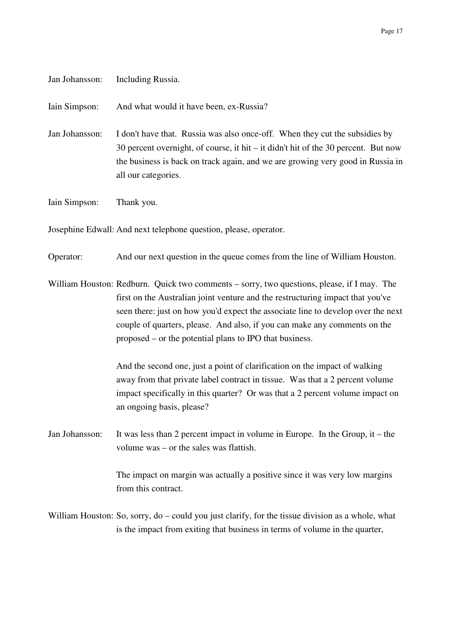| Jan Johansson: | Including Russia.                                                                                                                                                                                                                                                                                                                                                                                        |
|----------------|----------------------------------------------------------------------------------------------------------------------------------------------------------------------------------------------------------------------------------------------------------------------------------------------------------------------------------------------------------------------------------------------------------|
| Iain Simpson:  | And what would it have been, ex-Russia?                                                                                                                                                                                                                                                                                                                                                                  |
| Jan Johansson: | I don't have that. Russia was also once-off. When they cut the subsidies by<br>30 percent overnight, of course, it hit $-$ it didn't hit of the 30 percent. But now<br>the business is back on track again, and we are growing very good in Russia in<br>all our categories.                                                                                                                             |
| Iain Simpson:  | Thank you.                                                                                                                                                                                                                                                                                                                                                                                               |
|                | Josephine Edwall: And next telephone question, please, operator.                                                                                                                                                                                                                                                                                                                                         |
| Operator:      | And our next question in the queue comes from the line of William Houston.                                                                                                                                                                                                                                                                                                                               |
|                | William Houston: Redburn. Quick two comments – sorry, two questions, please, if I may. The<br>first on the Australian joint venture and the restructuring impact that you've<br>seen there: just on how you'd expect the associate line to develop over the next<br>couple of quarters, please. And also, if you can make any comments on the<br>proposed – or the potential plans to IPO that business. |
|                | And the second one, just a point of clarification on the impact of walking<br>away from that private label contract in tissue. Was that a 2 percent volume<br>impact specifically in this quarter? Or was that a 2 percent volume impact on<br>an ongoing basis, please?                                                                                                                                 |
| Jan Johansson: | It was less than 2 percent impact in volume in Europe. In the Group, it – the<br>volume was – or the sales was flattish.                                                                                                                                                                                                                                                                                 |
|                | The impact on margin was actually a positive since it was very low margins<br>from this contract.                                                                                                                                                                                                                                                                                                        |
|                | William Houston: So, sorry, do – could you just clarify, for the tissue division as a whole, what<br>is the impact from exiting that business in terms of volume in the quarter,                                                                                                                                                                                                                         |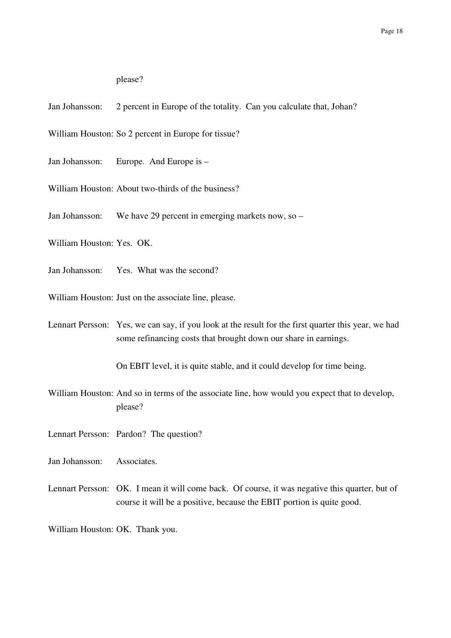please?

- Jan Johansson: 2 percent in Europe of the totality. Can you calculate that, Johan?
- William Houston: So 2 percent in Europe for tissue?
- Jan Johansson: Europe. And Europe is -
- William Houston: About two-thirds of the business?
- Jan Johansson: We have 29 percent in emerging markets now, so –
- William Houston: Yes. OK.
- Jan Johansson: Yes. What was the second?
- William Houston: Just on the associate line, please.
- Lennart Persson: Yes, we can say, if you look at the result for the first quarter this year, we had some refinancing costs that brought down our share in earnings.

On EBIT level, it is quite stable, and it could develop for time being.

- William Houston: And so in terms of the associate line, how would you expect that to develop, please?
- Lennart Persson: Pardon? The question?
- Jan Johansson: Associates.
- Lennart Persson: OK. I mean it will come back. Of course, it was negative this quarter, but of course it will be a positive, because the EBIT portion is quite good.

William Houston: OK. Thank you.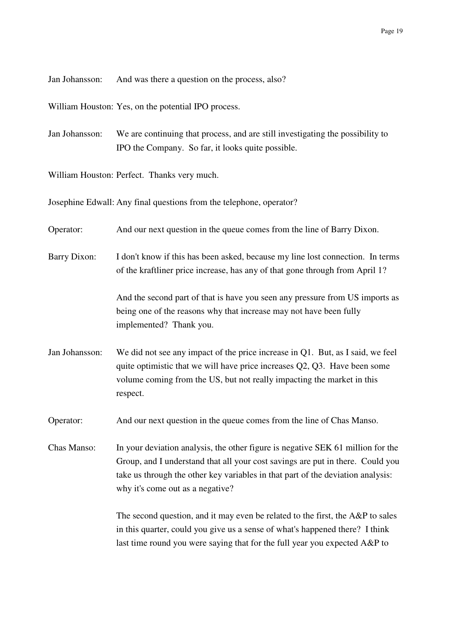Jan Johansson: And was there a question on the process, also?

William Houston: Yes, on the potential IPO process.

Jan Johansson: We are continuing that process, and are still investigating the possibility to IPO the Company. So far, it looks quite possible.

William Houston: Perfect. Thanks very much.

Josephine Edwall: Any final questions from the telephone, operator?

Operator: And our next question in the queue comes from the line of Barry Dixon.

Barry Dixon: I don't know if this has been asked, because my line lost connection. In terms of the kraftliner price increase, has any of that gone through from April 1?

> And the second part of that is have you seen any pressure from US imports as being one of the reasons why that increase may not have been fully implemented? Thank you.

Jan Johansson: We did not see any impact of the price increase in Q1. But, as I said, we feel quite optimistic that we will have price increases Q2, Q3. Have been some volume coming from the US, but not really impacting the market in this respect.

Operator: And our next question in the queue comes from the line of Chas Manso.

Chas Manso: In your deviation analysis, the other figure is negative SEK 61 million for the Group, and I understand that all your cost savings are put in there. Could you take us through the other key variables in that part of the deviation analysis: why it's come out as a negative?

> The second question, and it may even be related to the first, the A&P to sales in this quarter, could you give us a sense of what's happened there? I think last time round you were saying that for the full year you expected A&P to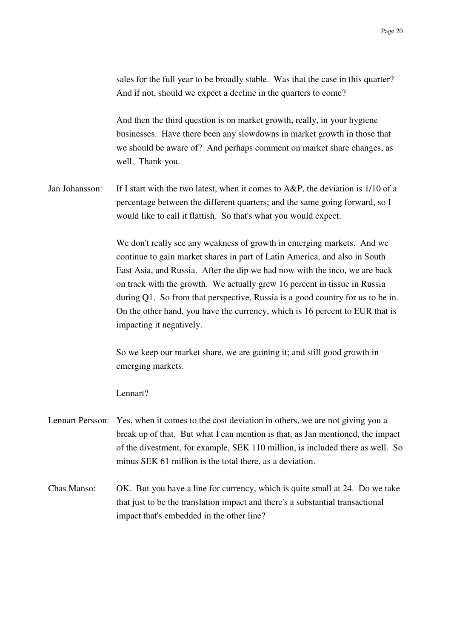sales for the full year to be broadly stable. Was that the case in this quarter? And if not, should we expect a decline in the quarters to come?

And then the third question is on market growth, really, in your hygiene businesses. Have there been any slowdowns in market growth in those that we should be aware of? And perhaps comment on market share changes, as well. Thank you.

Jan Johansson: If I start with the two latest, when it comes to A&P, the deviation is 1/10 of a percentage between the different quarters; and the same going forward, so I would like to call it flattish. So that's what you would expect.

> We don't really see any weakness of growth in emerging markets. And we continue to gain market shares in part of Latin America, and also in South East Asia, and Russia. After the dip we had now with the inco, we are back on track with the growth. We actually grew 16 percent in tissue in Russia during Q1. So from that perspective, Russia is a good country for us to be in. On the other hand, you have the currency, which is 16 percent to EUR that is impacting it negatively.

So we keep our market share, we are gaining it; and still good growth in emerging markets.

Lennart?

- Lennart Persson: Yes, when it comes to the cost deviation in others, we are not giving you a break up of that. But what I can mention is that, as Jan mentioned, the impact of the divestment, for example, SEK 110 million, is included there as well. So minus SEK 61 million is the total there, as a deviation.
- Chas Manso: OK. But you have a line for currency, which is quite small at 24. Do we take that just to be the translation impact and there's a substantial transactional impact that's embedded in the other line?